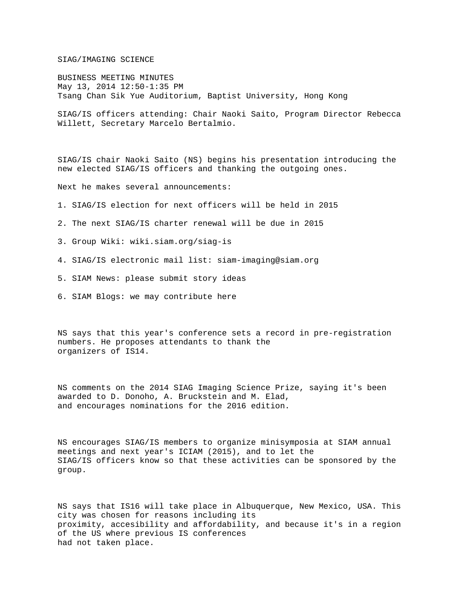SIAG/IMAGING SCIENCE

BUSINESS MEETING MINUTES May 13, 2014 12:50-1:35 PM Tsang Chan Sik Yue Auditorium, Baptist University, Hong Kong

SIAG/IS officers attending: Chair Naoki Saito, Program Director Rebecca Willett, Secretary Marcelo Bertalmio.

SIAG/IS chair Naoki Saito (NS) begins his presentation introducing the new elected SIAG/IS officers and thanking the outgoing ones.

Next he makes several announcements:

- 1. SIAG/IS election for next officers will be held in 2015
- 2. The next SIAG/IS charter renewal will be due in 2015
- 3. Group Wiki: wiki.siam.org/siag-is
- 4. SIAG/IS electronic mail list: siam-imaging@siam.org
- 5. SIAM News: please submit story ideas
- 6. SIAM Blogs: we may contribute here

NS says that this year's conference sets a record in pre-registration numbers. He proposes attendants to thank the organizers of IS14.

NS comments on the 2014 SIAG Imaging Science Prize, saying it's been awarded to D. Donoho, A. Bruckstein and M. Elad, and encourages nominations for the 2016 edition.

NS encourages SIAG/IS members to organize minisymposia at SIAM annual meetings and next year's ICIAM (2015), and to let the SIAG/IS officers know so that these activities can be sponsored by the group.

NS says that IS16 will take place in Albuquerque, New Mexico, USA. This city was chosen for reasons including its proximity, accesibility and affordability, and because it's in a region of the US where previous IS conferences had not taken place.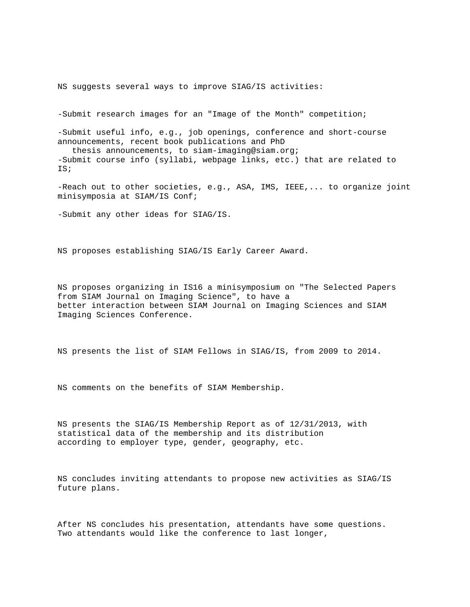NS suggests several ways to improve SIAG/IS activities:

-Submit research images for an "Image of the Month" competition;

-Submit useful info, e.g., job openings, conference and short-course announcements, recent book publications and PhD

 thesis announcements, to siam-imaging@siam.org; -Submit course info (syllabi, webpage links, etc.) that are related to IS;

-Reach out to other societies, e.g., ASA, IMS, IEEE,... to organize joint minisymposia at SIAM/IS Conf;

-Submit any other ideas for SIAG/IS.

NS proposes establishing SIAG/IS Early Career Award.

NS proposes organizing in IS16 a minisymposium on "The Selected Papers from SIAM Journal on Imaging Science", to have a better interaction between SIAM Journal on Imaging Sciences and SIAM Imaging Sciences Conference.

NS presents the list of SIAM Fellows in SIAG/IS, from 2009 to 2014.

NS comments on the benefits of SIAM Membership.

NS presents the SIAG/IS Membership Report as of 12/31/2013, with statistical data of the membership and its distribution according to employer type, gender, geography, etc.

NS concludes inviting attendants to propose new activities as SIAG/IS future plans.

After NS concludes his presentation, attendants have some questions. Two attendants would like the conference to last longer,